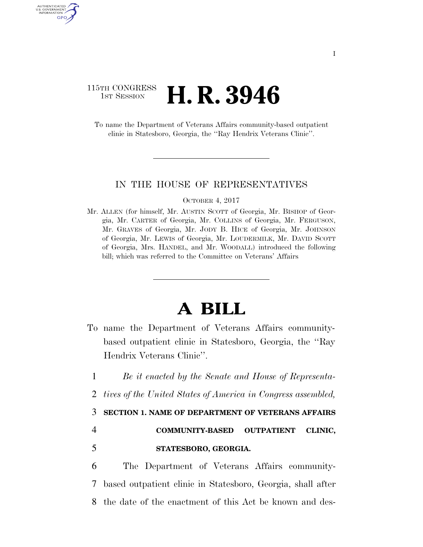### 115TH CONGRESS **1ST SESSION <b>H. R. 3946**

To name the Department of Veterans Affairs community-based outpatient clinic in Statesboro, Georgia, the ''Ray Hendrix Veterans Clinic''.

### IN THE HOUSE OF REPRESENTATIVES

#### OCTOBER 4, 2017

Mr. ALLEN (for himself, Mr. AUSTIN SCOTT of Georgia, Mr. BISHOP of Georgia, Mr. CARTER of Georgia, Mr. COLLINS of Georgia, Mr. FERGUSON, Mr. GRAVES of Georgia, Mr. JODY B. HICE of Georgia, Mr. JOHNSON of Georgia, Mr. LEWIS of Georgia, Mr. LOUDERMILK, Mr. DAVID SCOTT of Georgia, Mrs. HANDEL, and Mr. WOODALL) introduced the following bill; which was referred to the Committee on Veterans' Affairs

# **A BILL**

- To name the Department of Veterans Affairs communitybased outpatient clinic in Statesboro, Georgia, the ''Ray Hendrix Veterans Clinic''.
- 1 *Be it enacted by the Senate and House of Representa-*
- 2 *tives of the United States of America in Congress assembled,*

### 3 **SECTION 1. NAME OF DEPARTMENT OF VETERANS AFFAIRS**

4 **COMMUNITY-BASED OUTPATIENT CLINIC,** 

AUTHENTICATED U.S. GOVERNMENT GPO

## 5 **STATESBORO, GEORGIA.**

6 The Department of Veterans Affairs community-7 based outpatient clinic in Statesboro, Georgia, shall after 8 the date of the enactment of this Act be known and des